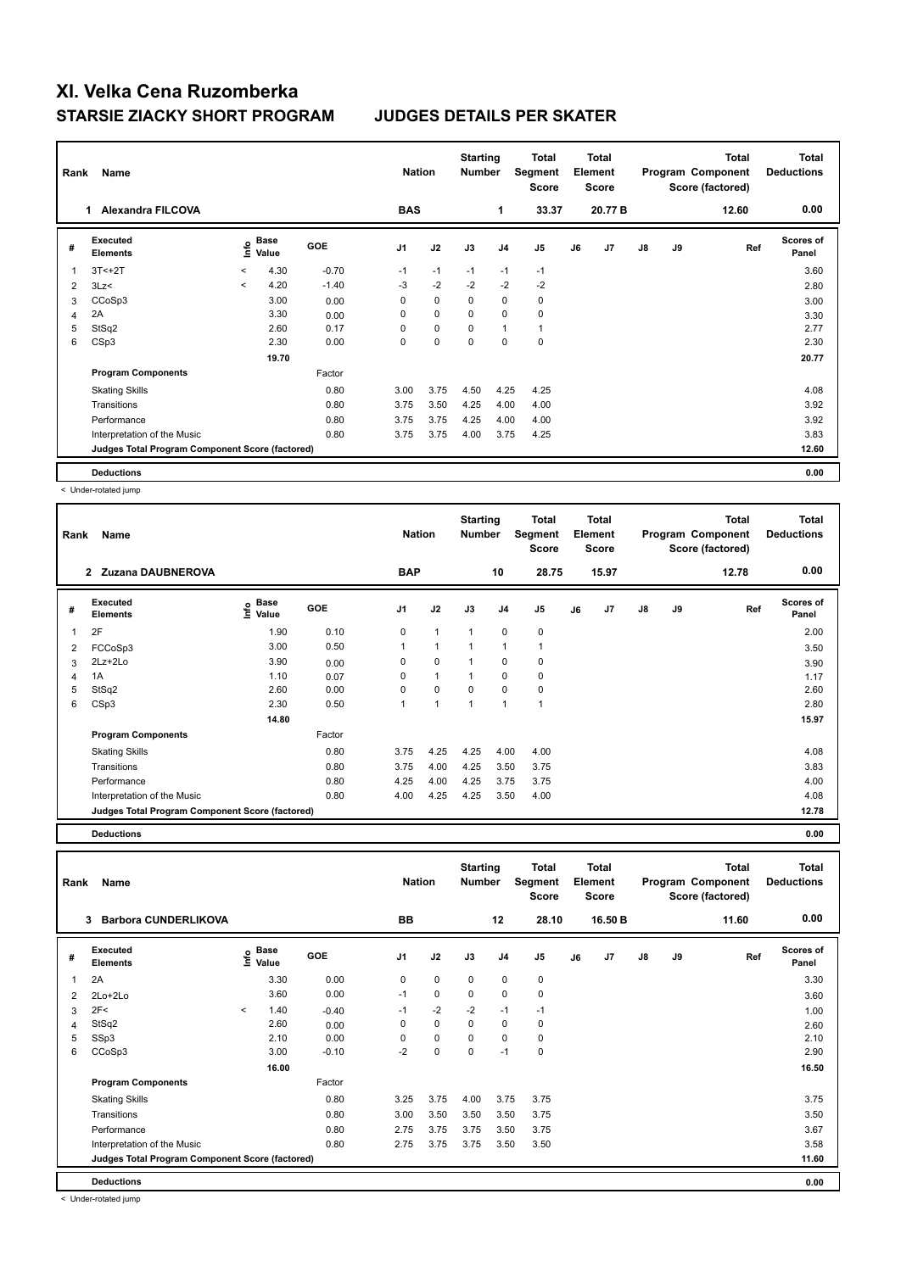| Rank | Name                                            |                          |               |            |                | <b>Nation</b> |             | <b>Starting</b><br><b>Number</b> | Total<br>Segment<br>Score | <b>Total</b><br>Element<br><b>Score</b> |         |    |    | <b>Total</b><br>Program Component<br>Score (factored) | <b>Total</b><br><b>Deductions</b> |
|------|-------------------------------------------------|--------------------------|---------------|------------|----------------|---------------|-------------|----------------------------------|---------------------------|-----------------------------------------|---------|----|----|-------------------------------------------------------|-----------------------------------|
|      | <b>Alexandra FILCOVA</b>                        |                          |               |            | <b>BAS</b>     |               |             | 1                                | 33.37                     |                                         | 20.77 B |    |    | 12.60                                                 | 0.00                              |
| #    | <b>Executed</b><br><b>Elements</b>              | ١nfo                     | Base<br>Value | <b>GOE</b> | J <sub>1</sub> | J2            | J3          | J <sub>4</sub>                   | J5                        | J6                                      | J7      | J8 | J9 | Ref                                                   | Scores of<br>Panel                |
| 1    | $3T < +2T$                                      | $\prec$                  | 4.30          | $-0.70$    | $-1$           | $-1$          | $-1$        | $-1$                             | $-1$                      |                                         |         |    |    |                                                       | 3.60                              |
| 2    | 3Lz                                             | $\overline{\phantom{a}}$ | 4.20          | $-1.40$    | $-3$           | $-2$          | $-2$        | $-2$                             | $-2$                      |                                         |         |    |    |                                                       | 2.80                              |
| 3    | CCoSp3                                          |                          | 3.00          | 0.00       | 0              | $\mathbf 0$   | 0           | $\mathbf 0$                      | $\pmb{0}$                 |                                         |         |    |    |                                                       | 3.00                              |
| 4    | 2A                                              |                          | 3.30          | 0.00       | $\Omega$       | $\Omega$      | $\Omega$    | $\Omega$                         | $\mathbf 0$               |                                         |         |    |    |                                                       | 3.30                              |
| 5    | StSq2                                           |                          | 2.60          | 0.17       | $\Omega$       | $\mathbf 0$   | 0           | $\overline{1}$                   | $\mathbf{1}$              |                                         |         |    |    |                                                       | 2.77                              |
| 6    | CSp3                                            |                          | 2.30          | 0.00       | 0              | 0             | $\mathbf 0$ | 0                                | $\mathbf 0$               |                                         |         |    |    |                                                       | 2.30                              |
|      |                                                 |                          | 19.70         |            |                |               |             |                                  |                           |                                         |         |    |    |                                                       | 20.77                             |
|      | <b>Program Components</b>                       |                          |               | Factor     |                |               |             |                                  |                           |                                         |         |    |    |                                                       |                                   |
|      | <b>Skating Skills</b>                           |                          |               | 0.80       | 3.00           | 3.75          | 4.50        | 4.25                             | 4.25                      |                                         |         |    |    |                                                       | 4.08                              |
|      | Transitions                                     |                          |               | 0.80       | 3.75           | 3.50          | 4.25        | 4.00                             | 4.00                      |                                         |         |    |    |                                                       | 3.92                              |
|      | Performance                                     |                          |               | 0.80       | 3.75           | 3.75          | 4.25        | 4.00                             | 4.00                      |                                         |         |    |    |                                                       | 3.92                              |
|      | Interpretation of the Music                     |                          |               | 0.80       | 3.75           | 3.75          | 4.00        | 3.75                             | 4.25                      |                                         |         |    |    |                                                       | 3.83                              |
|      | Judges Total Program Component Score (factored) |                          |               |            |                |               |             |                                  |                           |                                         |         |    |    |                                                       | 12.60                             |
|      | <b>Deductions</b>                               |                          |               |            |                |               |             |                                  |                           |                                         |         |    |    |                                                       | 0.00                              |

< Under-rotated jump

| Rank | Name                                            |                                                  |            | <b>Nation</b> |              | <b>Starting</b><br><b>Number</b> |                | Total<br>Segment<br><b>Score</b> |    | <b>Total</b><br>Element<br><b>Score</b> |    |    | <b>Total</b><br>Program Component<br>Score (factored) | <b>Total</b><br><b>Deductions</b> |
|------|-------------------------------------------------|--------------------------------------------------|------------|---------------|--------------|----------------------------------|----------------|----------------------------------|----|-----------------------------------------|----|----|-------------------------------------------------------|-----------------------------------|
|      | <b>Zuzana DAUBNEROVA</b><br>$\mathbf{2}$        |                                                  |            | <b>BAP</b>    |              |                                  | 10             | 28.75                            |    | 15.97                                   |    |    | 12.78                                                 | 0.00                              |
| #    | <b>Executed</b><br><b>Elements</b>              | $\mathbf{e}$ Base<br>$\mathbf{e}$ Value<br>Value | <b>GOE</b> | J1            | J2           | J3                               | J <sub>4</sub> | J5                               | J6 | J7                                      | J8 | J9 | Ref                                                   | Scores of<br>Panel                |
| 1    | 2F                                              | 1.90                                             | 0.10       | $\Omega$      | $\mathbf{1}$ | $\mathbf{1}$                     | $\mathbf 0$    | $\mathbf 0$                      |    |                                         |    |    |                                                       | 2.00                              |
| 2    | FCCoSp3                                         | 3.00                                             | 0.50       |               | $\mathbf{1}$ | $\overline{1}$                   | $\mathbf{1}$   |                                  |    |                                         |    |    |                                                       | 3.50                              |
| 3    | 2Lz+2Lo                                         | 3.90                                             | 0.00       | $\Omega$      | $\mathbf 0$  | $\mathbf{1}$                     | 0              | 0                                |    |                                         |    |    |                                                       | 3.90                              |
| 4    | 1A                                              | 1.10                                             | 0.07       | $\Omega$      | $\mathbf{1}$ | 1                                | $\mathbf 0$    | 0                                |    |                                         |    |    |                                                       | 1.17                              |
| 5    | StSq2                                           | 2.60                                             | 0.00       | $\Omega$      | 0            | $\Omega$                         | 0              | 0                                |    |                                         |    |    |                                                       | 2.60                              |
| 6    | CSp3                                            | 2.30                                             | 0.50       |               | $\mathbf{1}$ | $\mathbf{1}$                     | $\mathbf{1}$   | $\overline{1}$                   |    |                                         |    |    |                                                       | 2.80                              |
|      |                                                 | 14.80                                            |            |               |              |                                  |                |                                  |    |                                         |    |    |                                                       | 15.97                             |
|      | <b>Program Components</b>                       |                                                  | Factor     |               |              |                                  |                |                                  |    |                                         |    |    |                                                       |                                   |
|      | <b>Skating Skills</b>                           |                                                  | 0.80       | 3.75          | 4.25         | 4.25                             | 4.00           | 4.00                             |    |                                         |    |    |                                                       | 4.08                              |
|      | Transitions                                     |                                                  | 0.80       | 3.75          | 4.00         | 4.25                             | 3.50           | 3.75                             |    |                                         |    |    |                                                       | 3.83                              |
|      | Performance                                     |                                                  | 0.80       | 4.25          | 4.00         | 4.25                             | 3.75           | 3.75                             |    |                                         |    |    |                                                       | 4.00                              |
|      | Interpretation of the Music                     |                                                  | 0.80       | 4.00          | 4.25         | 4.25                             | 3.50           | 4.00                             |    |                                         |    |    |                                                       | 4.08                              |
|      | Judges Total Program Component Score (factored) |                                                  |            |               |              |                                  |                |                                  |    |                                         |    |    |                                                       | 12.78                             |

**Deductions 0.00**

**Total Deductions Total Program Component Score (factored) Total Element Score Total Segment Score Starting Rank Name Nation Number # Executed Elements Base Value GOE J1 J2 J3 J4 J5 J6 J7 J8 J9 Scores of Panel** 1 3.30 0.00 0 0 0 0 0 **Ref**  ستان کا بیست کا بیست کا بیست کا بیست کا بیست کا بیست کا بیست کا بیست کردی ہو ہے کہ ایک بیست کردی ہو ہے کہ ایک ب<br>2A 3.30 0.00 0 0 0 0 0 0 3.30 3.30  **3 Barbora CUNDERLIKOVA BB 12 28.10 16.50 B 11.60 0.00** 2 2Lo+2Lo 3.60 0.00 -1 0 0 0 0 3.60  $3 \quad 2$ F<  $\quad \text{---}$   $\quad \text{---}$   $\quad \text{---}$   $\quad \text{---}$   $\quad \text{---}$   $\quad \text{---}$   $\quad \text{---}$   $\quad \text{---}$   $\quad \text{---}$   $\quad \text{---}$   $\quad \text{---}$   $\quad \text{---}$   $\quad \text{---}$   $\quad \text{---}$   $\quad \text{---}$   $\quad \text{---}$   $\quad \text{---}$   $\quad \text{---}$   $\quad \text{---}$   $\quad \text{---}$   $\quad \text{---}$  4 StSq2 2.60 0.00 0 0 0 0 0 2.60 5 SSp3 2.10 0.00 0 0 0 0 0 2.10 6 CCoSp3 3.00 -0.10 -2 0 0 -1 0 2.90  **16.00 16.50 16.50 Program Components**  Skating Skills 3.25 3.75 3.75 3.75 3.75 Factor 0.80 3.25 3.75 4.00 3.75 3.75 3.75 Transitions 0.80 3.00 3.50 3.50 3.50 3.75 3.50 Performance 0.80 2.75 3.75 3.75 3.50 3.75 3.67 Interpretation of the Music **0.80** 2.75 3.75 3.75 3.75 3.50 3.50 **Deductions 0.00 Judges Total Program Component Score (factored) 11.60**

< Under-rotated jump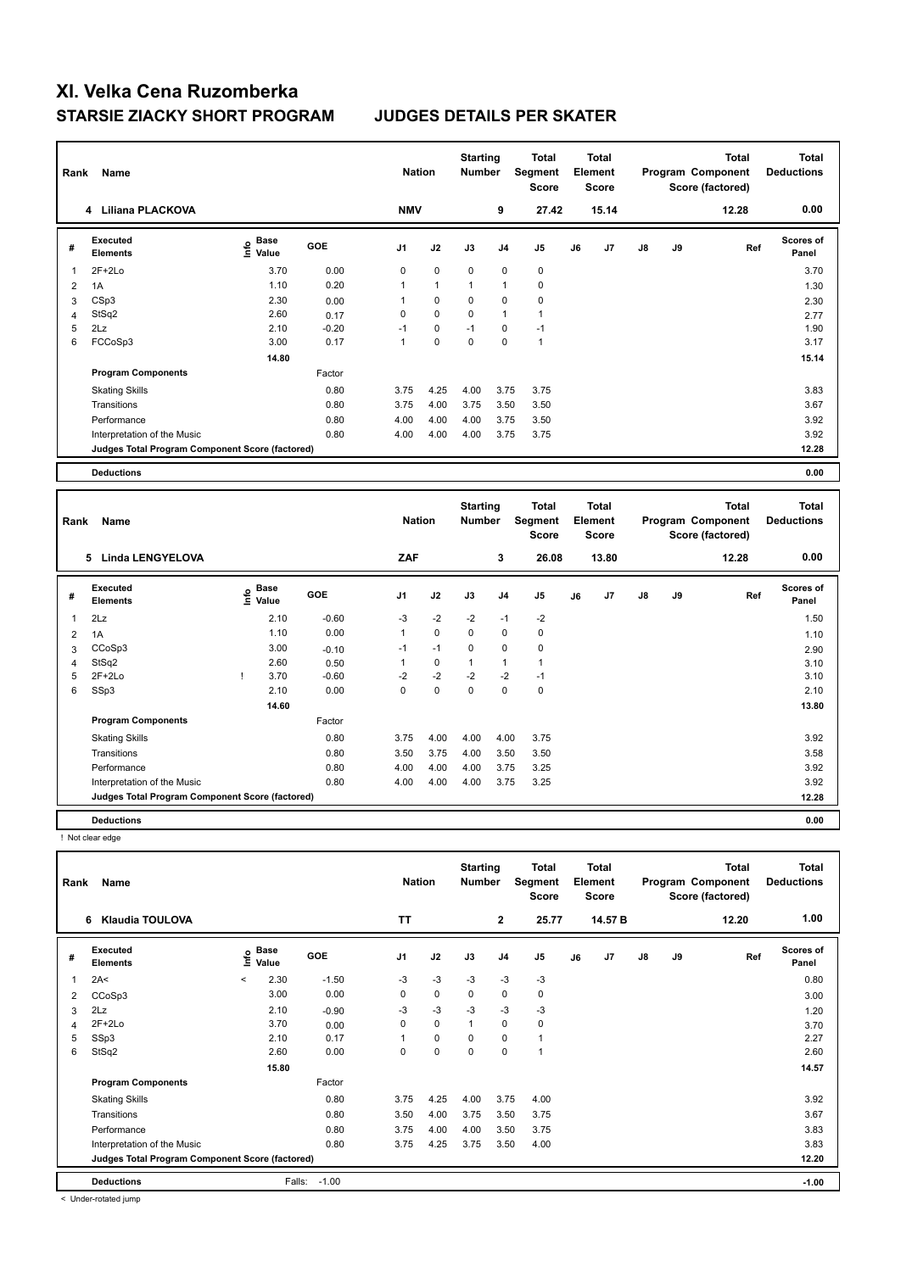| Rank | Name                                            |                                  |         | <b>Nation</b>  |              | <b>Starting</b><br>Number |                | <b>Total</b><br>Segment<br><b>Score</b> |    | <b>Total</b><br>Element<br>Score |               |    | <b>Total</b><br>Program Component<br>Score (factored) | <b>Total</b><br><b>Deductions</b> |
|------|-------------------------------------------------|----------------------------------|---------|----------------|--------------|---------------------------|----------------|-----------------------------------------|----|----------------------------------|---------------|----|-------------------------------------------------------|-----------------------------------|
|      | 4 Liliana PLACKOVA                              |                                  |         | <b>NMV</b>     |              |                           | 9              | 27.42                                   |    | 15.14                            |               |    | 12.28                                                 | 0.00                              |
| #    | Executed<br><b>Elements</b>                     | <b>Base</b><br>e Base<br>⊆ Value | GOE     | J <sub>1</sub> | J2           | J3                        | J <sub>4</sub> | J <sub>5</sub>                          | J6 | J <sub>7</sub>                   | $\mathsf{J}8$ | J9 | Ref                                                   | <b>Scores of</b><br>Panel         |
| 1    | $2F+2Lo$                                        | 3.70                             | 0.00    | $\mathbf 0$    | $\mathbf 0$  | $\mathbf 0$               | $\Omega$       | $\mathbf 0$                             |    |                                  |               |    |                                                       | 3.70                              |
| 2    | 1A                                              | 1.10                             | 0.20    | 1              | $\mathbf{1}$ | $\mathbf{1}$              | 1              | $\mathbf 0$                             |    |                                  |               |    |                                                       | 1.30                              |
| 3    | CSp3                                            | 2.30                             | 0.00    |                | 0            | 0                         | 0              | 0                                       |    |                                  |               |    |                                                       | 2.30                              |
| 4    | StSq2                                           | 2.60                             | 0.17    | $\Omega$       | 0            | $\Omega$                  | 1              | 1                                       |    |                                  |               |    |                                                       | 2.77                              |
| 5    | 2Lz                                             | 2.10                             | $-0.20$ | $-1$           | 0            | $-1$                      | 0              | $-1$                                    |    |                                  |               |    |                                                       | 1.90                              |
| 6    | FCCoSp3                                         | 3.00                             | 0.17    | 1              | $\Omega$     | $\Omega$                  | $\Omega$       | $\overline{1}$                          |    |                                  |               |    |                                                       | 3.17                              |
|      |                                                 | 14.80                            |         |                |              |                           |                |                                         |    |                                  |               |    |                                                       | 15.14                             |
|      | <b>Program Components</b>                       |                                  | Factor  |                |              |                           |                |                                         |    |                                  |               |    |                                                       |                                   |
|      | <b>Skating Skills</b>                           |                                  | 0.80    | 3.75           | 4.25         | 4.00                      | 3.75           | 3.75                                    |    |                                  |               |    |                                                       | 3.83                              |
|      | Transitions                                     |                                  | 0.80    | 3.75           | 4.00         | 3.75                      | 3.50           | 3.50                                    |    |                                  |               |    |                                                       | 3.67                              |
|      | Performance                                     |                                  | 0.80    | 4.00           | 4.00         | 4.00                      | 3.75           | 3.50                                    |    |                                  |               |    |                                                       | 3.92                              |
|      | Interpretation of the Music                     |                                  | 0.80    | 4.00           | 4.00         | 4.00                      | 3.75           | 3.75                                    |    |                                  |               |    |                                                       | 3.92                              |
|      | Judges Total Program Component Score (factored) |                                  |         |                |              |                           |                |                                         |    |                                  |               |    |                                                       | 12.28                             |
|      | <b>Deductions</b>                               |                                  |         |                |              |                           |                |                                         |    |                                  |               |    |                                                       | 0.00                              |

|   | Name<br>Rank                                    |   |                      |            |      | <b>Nation</b> |             | <b>Starting</b><br><b>Number</b> | Total<br>Segment<br><b>Score</b> | <b>Total</b><br>Element<br><b>Score</b> |                |    |    | Total<br>Program Component<br>Score (factored) | <b>Total</b><br><b>Deductions</b> |
|---|-------------------------------------------------|---|----------------------|------------|------|---------------|-------------|----------------------------------|----------------------------------|-----------------------------------------|----------------|----|----|------------------------------------------------|-----------------------------------|
|   | <b>Linda LENGYELOVA</b><br>5                    |   |                      |            | ZAF  |               |             | 3                                | 26.08                            |                                         | 13.80          |    |    | 12.28                                          | 0.00                              |
| # | <b>Executed</b><br><b>Elements</b>              | ۴ | <b>Base</b><br>Value | <b>GOE</b> | J1   | J2            | J3          | J <sub>4</sub>                   | J <sub>5</sub>                   | J6                                      | J <sub>7</sub> | J8 | J9 | Ref                                            | <b>Scores of</b><br>Panel         |
| 1 | 2Lz                                             |   | 2.10                 | $-0.60$    | $-3$ | $-2$          | $-2$        | $-1$                             | $-2$                             |                                         |                |    |    |                                                | 1.50                              |
| 2 | 1A                                              |   | 1.10                 | 0.00       | 1    | $\mathbf 0$   | $\mathbf 0$ | 0                                | 0                                |                                         |                |    |    |                                                | 1.10                              |
| 3 | CCoSp3                                          |   | 3.00                 | $-0.10$    | $-1$ | $-1$          | $\mathbf 0$ | 0                                | 0                                |                                         |                |    |    |                                                | 2.90                              |
| 4 | StSq2                                           |   | 2.60                 | 0.50       | 1    | 0             | 1           | $\mathbf{1}$                     | 1                                |                                         |                |    |    |                                                | 3.10                              |
| 5 | $2F+2Lo$                                        |   | 3.70                 | $-0.60$    | $-2$ | $-2$          | $-2$        | $-2$                             | $-1$                             |                                         |                |    |    |                                                | 3.10                              |
| 6 | SSp3                                            |   | 2.10                 | 0.00       | 0    | $\mathbf 0$   | $\mathbf 0$ | $\mathbf 0$                      | 0                                |                                         |                |    |    |                                                | 2.10                              |
|   |                                                 |   | 14.60                |            |      |               |             |                                  |                                  |                                         |                |    |    |                                                | 13.80                             |
|   | <b>Program Components</b>                       |   |                      | Factor     |      |               |             |                                  |                                  |                                         |                |    |    |                                                |                                   |
|   | <b>Skating Skills</b>                           |   |                      | 0.80       | 3.75 | 4.00          | 4.00        | 4.00                             | 3.75                             |                                         |                |    |    |                                                | 3.92                              |
|   | Transitions                                     |   |                      | 0.80       | 3.50 | 3.75          | 4.00        | 3.50                             | 3.50                             |                                         |                |    |    |                                                | 3.58                              |
|   | Performance                                     |   |                      | 0.80       | 4.00 | 4.00          | 4.00        | 3.75                             | 3.25                             |                                         |                |    |    |                                                | 3.92                              |
|   | Interpretation of the Music                     |   |                      | 0.80       | 4.00 | 4.00          | 4.00        | 3.75                             | 3.25                             |                                         |                |    |    |                                                | 3.92                              |
|   | Judges Total Program Component Score (factored) |   |                      |            |      |               |             |                                  |                                  |                                         |                |    |    |                                                | 12.28                             |
|   | <b>Deductions</b>                               |   |                      |            |      |               |             |                                  |                                  |                                         |                |    |    |                                                | 0.00                              |

! Not clear edge

|                | Name<br>Rank                                    |         |               |         |                | <b>Nation</b> |              | <b>Starting</b><br><b>Number</b> | Total<br>Segment<br><b>Score</b> | <b>Total</b><br>Element<br><b>Score</b> |         |               |    | <b>Total</b><br>Program Component<br>Score (factored) | <b>Total</b><br><b>Deductions</b> |
|----------------|-------------------------------------------------|---------|---------------|---------|----------------|---------------|--------------|----------------------------------|----------------------------------|-----------------------------------------|---------|---------------|----|-------------------------------------------------------|-----------------------------------|
|                | Klaudia TOULOVA<br>6                            |         |               |         | TΤ             |               |              | $\mathbf{2}$                     | 25.77                            |                                         | 14.57 B |               |    | 12.20                                                 | 1.00                              |
| #              | Executed<br><b>Elements</b>                     | Info    | Base<br>Value | GOE     | J <sub>1</sub> | J2            | J3           | J <sub>4</sub>                   | J5                               | J6                                      | J7      | $\mathsf{J}8$ | J9 | Ref                                                   | Scores of<br>Panel                |
| 1              | 2A<                                             | $\prec$ | 2.30          | $-1.50$ | $-3$           | $-3$          | $-3$         | $-3$                             | $-3$                             |                                         |         |               |    |                                                       | 0.80                              |
| 2              | CCoSp3                                          |         | 3.00          | 0.00    | 0              | $\mathbf 0$   | 0            | 0                                | 0                                |                                         |         |               |    |                                                       | 3.00                              |
| 3              | 2Lz                                             |         | 2.10          | $-0.90$ | -3             | $-3$          | $-3$         | -3                               | $-3$                             |                                         |         |               |    |                                                       | 1.20                              |
| $\overline{4}$ | $2F+2Lo$                                        |         | 3.70          | 0.00    | 0              | $\mathbf 0$   | $\mathbf{1}$ | $\mathbf 0$                      | 0                                |                                         |         |               |    |                                                       | 3.70                              |
| 5              | SSp3                                            |         | 2.10          | 0.17    |                | $\mathbf 0$   | 0            | $\mathbf 0$                      | $\mathbf{1}$                     |                                         |         |               |    |                                                       | 2.27                              |
| 6              | StSq2                                           |         | 2.60          | 0.00    | 0              | 0             | 0            | $\mathbf 0$                      | $\overline{1}$                   |                                         |         |               |    |                                                       | 2.60                              |
|                |                                                 |         | 15.80         |         |                |               |              |                                  |                                  |                                         |         |               |    |                                                       | 14.57                             |
|                | <b>Program Components</b>                       |         |               | Factor  |                |               |              |                                  |                                  |                                         |         |               |    |                                                       |                                   |
|                | <b>Skating Skills</b>                           |         |               | 0.80    | 3.75           | 4.25          | 4.00         | 3.75                             | 4.00                             |                                         |         |               |    |                                                       | 3.92                              |
|                | Transitions                                     |         |               | 0.80    | 3.50           | 4.00          | 3.75         | 3.50                             | 3.75                             |                                         |         |               |    |                                                       | 3.67                              |
|                | Performance                                     |         |               | 0.80    | 3.75           | 4.00          | 4.00         | 3.50                             | 3.75                             |                                         |         |               |    |                                                       | 3.83                              |
|                | Interpretation of the Music                     |         |               | 0.80    | 3.75           | 4.25          | 3.75         | 3.50                             | 4.00                             |                                         |         |               |    |                                                       | 3.83                              |
|                | Judges Total Program Component Score (factored) |         |               |         |                |               |              |                                  |                                  |                                         |         |               |    |                                                       | 12.20                             |
|                | <b>Deductions</b>                               |         | Falls:        | $-1.00$ |                |               |              |                                  |                                  |                                         |         |               |    |                                                       | $-1.00$                           |

< Under-rotated jump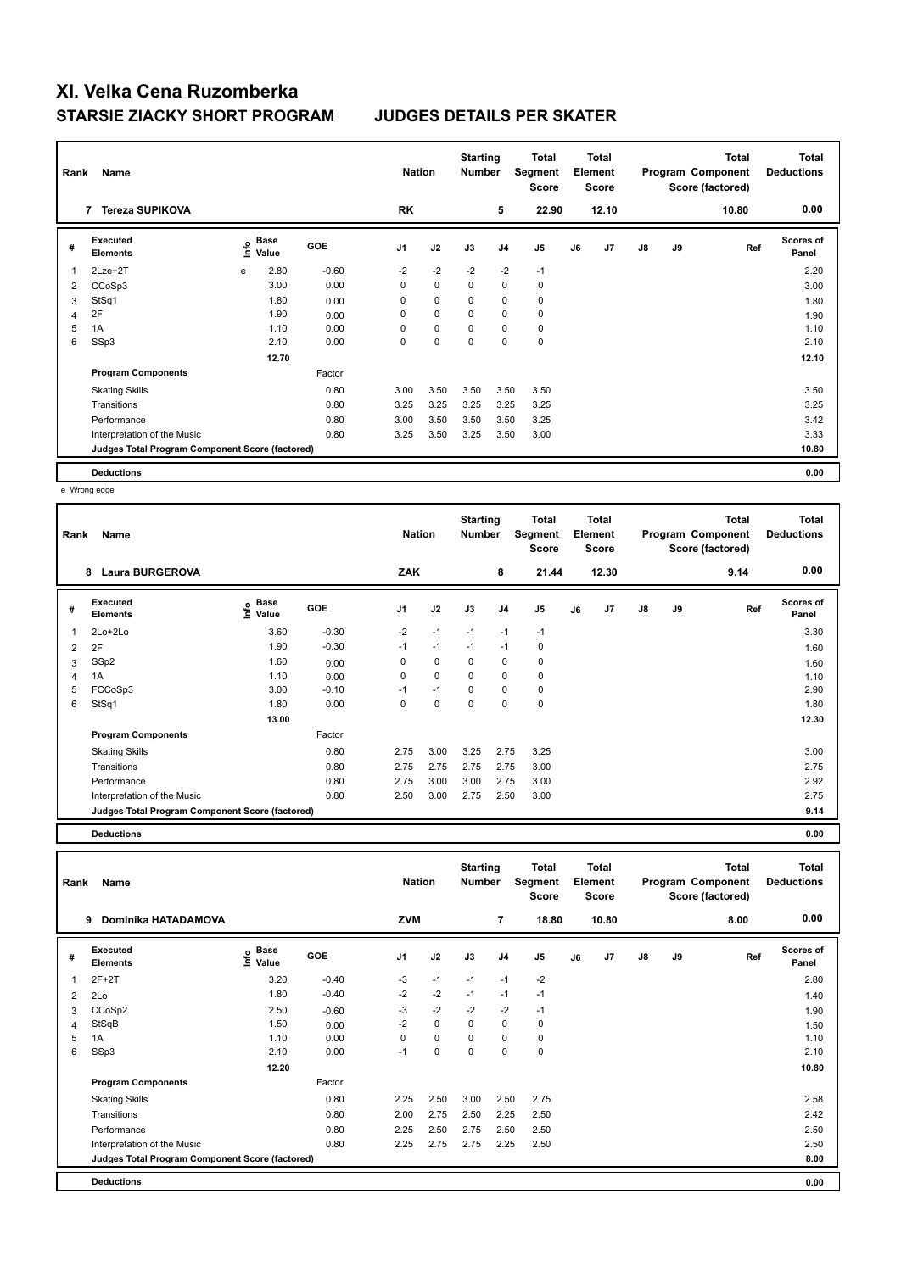| Rank<br>Name |                                                 |   |                                  |         |                | <b>Nation</b> |             | <b>Starting</b><br><b>Number</b> | Total<br>Segment<br><b>Score</b> | <b>Total</b><br>Element<br><b>Score</b> |                |               |    | <b>Total</b><br>Program Component<br>Score (factored) | <b>Total</b><br><b>Deductions</b> |
|--------------|-------------------------------------------------|---|----------------------------------|---------|----------------|---------------|-------------|----------------------------------|----------------------------------|-----------------------------------------|----------------|---------------|----|-------------------------------------------------------|-----------------------------------|
|              | <b>Tereza SUPIKOVA</b><br>7                     |   |                                  |         | <b>RK</b>      |               |             | 5                                | 22.90                            |                                         | 12.10          |               |    | 10.80                                                 | 0.00                              |
| #            | <b>Executed</b><br><b>Elements</b>              |   | <b>Base</b><br>e Base<br>⊆ Value | GOE     | J <sub>1</sub> | J2            | J3          | J <sub>4</sub>                   | J5                               | J6                                      | J <sub>7</sub> | $\mathsf{J}8$ | J9 | Ref                                                   | <b>Scores of</b><br>Panel         |
| 1            | 2Lze+2T                                         | e | 2.80                             | $-0.60$ | $-2$           | $-2$          | $-2$        | $-2$                             | $-1$                             |                                         |                |               |    |                                                       | 2.20                              |
| 2            | CCoSp3                                          |   | 3.00                             | 0.00    | 0              | $\mathbf 0$   | 0           | $\pmb{0}$                        | $\pmb{0}$                        |                                         |                |               |    |                                                       | 3.00                              |
| 3            | StSq1                                           |   | 1.80                             | 0.00    | 0              | $\mathbf 0$   | $\mathbf 0$ | $\mathbf 0$                      | $\pmb{0}$                        |                                         |                |               |    |                                                       | 1.80                              |
| 4            | 2F                                              |   | 1.90                             | 0.00    | 0              | $\mathbf 0$   | $\Omega$    | $\mathbf 0$                      | $\pmb{0}$                        |                                         |                |               |    |                                                       | 1.90                              |
| 5            | 1A                                              |   | 1.10                             | 0.00    | 0              | 0             | 0           | 0                                | 0                                |                                         |                |               |    |                                                       | 1.10                              |
| 6            | SSp3                                            |   | 2.10                             | 0.00    | 0              | $\mathbf 0$   | 0           | 0                                | $\pmb{0}$                        |                                         |                |               |    |                                                       | 2.10                              |
|              |                                                 |   | 12.70                            |         |                |               |             |                                  |                                  |                                         |                |               |    |                                                       | 12.10                             |
|              | <b>Program Components</b>                       |   |                                  | Factor  |                |               |             |                                  |                                  |                                         |                |               |    |                                                       |                                   |
|              | <b>Skating Skills</b>                           |   |                                  | 0.80    | 3.00           | 3.50          | 3.50        | 3.50                             | 3.50                             |                                         |                |               |    |                                                       | 3.50                              |
|              | Transitions                                     |   |                                  | 0.80    | 3.25           | 3.25          | 3.25        | 3.25                             | 3.25                             |                                         |                |               |    |                                                       | 3.25                              |
|              | Performance                                     |   |                                  | 0.80    | 3.00           | 3.50          | 3.50        | 3.50                             | 3.25                             |                                         |                |               |    |                                                       | 3.42                              |
|              | Interpretation of the Music                     |   |                                  | 0.80    | 3.25           | 3.50          | 3.25        | 3.50                             | 3.00                             |                                         |                |               |    |                                                       | 3.33                              |
|              | Judges Total Program Component Score (factored) |   |                                  |         |                |               |             |                                  |                                  |                                         |                |               |    |                                                       | 10.80                             |
|              | <b>Deductions</b>                               |   |                                  |         |                |               |             |                                  |                                  |                                         |                |               |    |                                                       | 0.00                              |

e Wrong edge

| Rank           | Name                                            |                    |            | <b>Nation</b>  |             | <b>Starting</b><br><b>Number</b> |                | Total<br>Segment<br><b>Score</b> |    | <b>Total</b><br>Element<br>Score |               |    | <b>Total</b><br>Program Component<br>Score (factored) | <b>Total</b><br><b>Deductions</b> |
|----------------|-------------------------------------------------|--------------------|------------|----------------|-------------|----------------------------------|----------------|----------------------------------|----|----------------------------------|---------------|----|-------------------------------------------------------|-----------------------------------|
|                | 8<br><b>Laura BURGEROVA</b>                     |                    |            | ZAK            |             |                                  | 8              | 21.44                            |    | 12.30                            |               |    | 9.14                                                  | 0.00                              |
| #              | Executed<br><b>Elements</b>                     | $\frac{6}{5}$ Base | <b>GOE</b> | J <sub>1</sub> | J2          | J3                               | J <sub>4</sub> | J <sub>5</sub>                   | J6 | J <sub>7</sub>                   | $\mathsf{J}8$ | J9 | Ref                                                   | <b>Scores of</b><br>Panel         |
| 1              | $2Lo+2Lo$                                       | 3.60               | $-0.30$    | $-2$           | $-1$        | $-1$                             | $-1$           | $-1$                             |    |                                  |               |    |                                                       | 3.30                              |
| $\overline{2}$ | 2F                                              | 1.90               | $-0.30$    | $-1$           | $-1$        | $-1$                             | $-1$           | 0                                |    |                                  |               |    |                                                       | 1.60                              |
| 3              | SSp2                                            | 1.60               | 0.00       | 0              | $\mathbf 0$ | 0                                | $\pmb{0}$      | $\pmb{0}$                        |    |                                  |               |    |                                                       | 1.60                              |
| 4              | 1A                                              | 1.10               | 0.00       | 0              | $\mathbf 0$ | $\mathbf 0$                      | $\mathbf 0$    | $\mathbf 0$                      |    |                                  |               |    |                                                       | 1.10                              |
| 5              | FCCoSp3                                         | 3.00               | $-0.10$    | $-1$           | $-1$        | $\mathbf 0$                      | $\pmb{0}$      | $\pmb{0}$                        |    |                                  |               |    |                                                       | 2.90                              |
| 6              | StSq1                                           | 1.80               | 0.00       | $\Omega$       | $\mathbf 0$ | 0                                | $\mathbf 0$    | $\mathbf 0$                      |    |                                  |               |    |                                                       | 1.80                              |
|                |                                                 | 13.00              |            |                |             |                                  |                |                                  |    |                                  |               |    |                                                       | 12.30                             |
|                | <b>Program Components</b>                       |                    | Factor     |                |             |                                  |                |                                  |    |                                  |               |    |                                                       |                                   |
|                | <b>Skating Skills</b>                           |                    | 0.80       | 2.75           | 3.00        | 3.25                             | 2.75           | 3.25                             |    |                                  |               |    |                                                       | 3.00                              |
|                | Transitions                                     |                    | 0.80       | 2.75           | 2.75        | 2.75                             | 2.75           | 3.00                             |    |                                  |               |    |                                                       | 2.75                              |
|                | Performance                                     |                    | 0.80       | 2.75           | 3.00        | 3.00                             | 2.75           | 3.00                             |    |                                  |               |    |                                                       | 2.92                              |
|                | Interpretation of the Music                     |                    | 0.80       | 2.50           | 3.00        | 2.75                             | 2.50           | 3.00                             |    |                                  |               |    |                                                       | 2.75                              |
|                | Judges Total Program Component Score (factored) |                    |            |                |             |                                  |                |                                  |    |                                  |               |    |                                                       | 9.14                              |

**Deductions 0.00**

| Rank           | Name                                            |                       |            | <b>Nation</b> |             | <b>Starting</b><br><b>Number</b> |                | Total<br>Segment<br><b>Score</b> |    | Total<br>Element<br><b>Score</b> |               |    | <b>Total</b><br>Program Component<br>Score (factored) | Total<br><b>Deductions</b> |
|----------------|-------------------------------------------------|-----------------------|------------|---------------|-------------|----------------------------------|----------------|----------------------------------|----|----------------------------------|---------------|----|-------------------------------------------------------|----------------------------|
|                | Dominika HATADAMOVA<br>9                        |                       |            | <b>ZVM</b>    |             |                                  | $\overline{7}$ | 18.80                            |    | 10.80                            |               |    | 8.00                                                  | 0.00                       |
| #              | Executed<br><b>Elements</b>                     | Base<br>١nfo<br>Value | <b>GOE</b> | J1            | J2          | J3                               | J <sub>4</sub> | J5                               | J6 | J7                               | $\mathsf{J}8$ | J9 | Ref                                                   | <b>Scores of</b><br>Panel  |
| 1              | $2F+2T$                                         | 3.20                  | $-0.40$    | $-3$          | $-1$        | $-1$                             | $-1$           | $-2$                             |    |                                  |               |    |                                                       | 2.80                       |
| $\overline{2}$ | 2Lo                                             | 1.80                  | $-0.40$    | $-2$          | $-2$        | $-1$                             | $-1$           | $-1$                             |    |                                  |               |    |                                                       | 1.40                       |
| 3              | CCoSp2                                          | 2.50                  | $-0.60$    | $-3$          | $-2$        | $-2$                             | $-2$           | $-1$                             |    |                                  |               |    |                                                       | 1.90                       |
| $\overline{4}$ | StSqB                                           | 1.50                  | 0.00       | $-2$          | $\mathbf 0$ | $\mathbf 0$                      | 0              | 0                                |    |                                  |               |    |                                                       | 1.50                       |
| 5              | 1A                                              | 1.10                  | 0.00       | 0             | 0           | $\mathbf 0$                      | 0              | 0                                |    |                                  |               |    |                                                       | 1.10                       |
| 6              | SSp3                                            | 2.10                  | 0.00       | $-1$          | 0           | $\mathbf 0$                      | $\Omega$       | $\mathbf 0$                      |    |                                  |               |    |                                                       | 2.10                       |
|                |                                                 | 12.20                 |            |               |             |                                  |                |                                  |    |                                  |               |    |                                                       | 10.80                      |
|                | <b>Program Components</b>                       |                       | Factor     |               |             |                                  |                |                                  |    |                                  |               |    |                                                       |                            |
|                | <b>Skating Skills</b>                           |                       | 0.80       | 2.25          | 2.50        | 3.00                             | 2.50           | 2.75                             |    |                                  |               |    |                                                       | 2.58                       |
|                | Transitions                                     |                       | 0.80       | 2.00          | 2.75        | 2.50                             | 2.25           | 2.50                             |    |                                  |               |    |                                                       | 2.42                       |
|                | Performance                                     |                       | 0.80       | 2.25          | 2.50        | 2.75                             | 2.50           | 2.50                             |    |                                  |               |    |                                                       | 2.50                       |
|                | Interpretation of the Music                     |                       | 0.80       | 2.25          | 2.75        | 2.75                             | 2.25           | 2.50                             |    |                                  |               |    |                                                       | 2.50                       |
|                | Judges Total Program Component Score (factored) |                       |            |               |             |                                  |                |                                  |    |                                  |               |    |                                                       | 8.00                       |
|                | <b>Deductions</b>                               |                       |            |               |             |                                  |                |                                  |    |                                  |               |    |                                                       | 0.00                       |